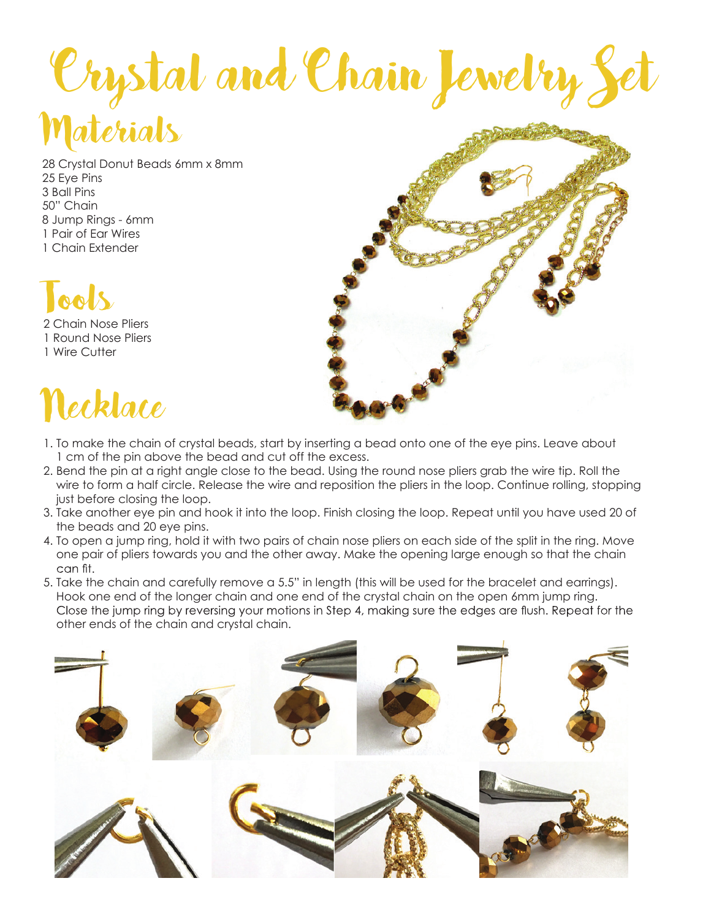## Materials Crystal and Chain Jewelry Set

28 Crystal Donut Beads 6mm x 8mm 25 Eye Pins 3 Ball Pins 50" Chain 8 Jump Rings - 6mm 1 Pair of Ear Wires 1 Chain Extender



2 Chain Nose Pliers 1 Round Nose Pliers 1 Wire Cutter

## Necklace



- 1. To make the chain of crystal beads, start by inserting a bead onto one of the eye pins. Leave about 1 cm of the pin above the bead and cut off the excess.
- 2. Bend the pin at a right angle close to the bead. Using the round nose pliers grab the wire tip. Roll the wire to form a half circle. Release the wire and reposition the pliers in the loop. Continue rolling, stopping just before closing the loop.
- 3. Take another eye pin and hook it into the loop. Finish closing the loop. Repeat until you have used 20 of the beads and 20 eye pins.
- 4. To open a jump ring, hold it with two pairs of chain nose pliers on each side of the split in the ring. Move one pair of pliers towards you and the other away. Make the opening large enough so that the chain can fit.
- 5. Take the chain and carefully remove a 5.5" in length (this will be used for the bracelet and earrings). Hook one end of the longer chain and one end of the crystal chain on the open 6mm jump ring. Close the jump ring by reversing your motions in Step 4, making sure the edges are flush. Repeat for the other ends of the chain and crystal chain.